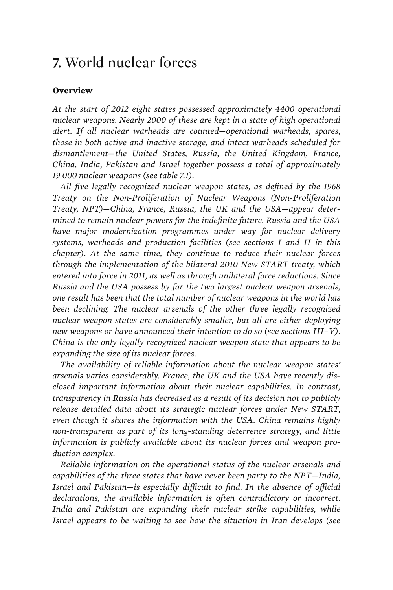## **7.** World nuclear forces

## **Overview**

*At the start of 2012 eight states possessed approximately 4400 operational nuclear weapons. Nearly 2000 of these are kept in a state of high operational alert. If all nuclear warheads are counted—operational warheads, spares, those in both active and inactive storage, and intact warheads scheduled for dismantlement—the United States, Russia, the United Kingdom, France, China, India, Pakistan and Israel together possess a total of approximately 19 000 nuclear weapons (see table 7.1).* 

*All five legally recognized nuclear weapon states, as defined by the 1968 Treaty on the Non-Proliferation of Nuclear Weapons (Non-Proliferation Treaty, NPT)—China, France, Russia, the UK and the USA—appear determined to remain nuclear powers for the indefinite future. Russia and the USA have major modernization programmes under way for nuclear delivery systems, warheads and production facilities (see sections I and II in this chapter). At the same time, they continue to reduce their nuclear forces through the implementation of the bilateral 2010 New START treaty, which entered into force in 2011, as well as through unilateral force reductions. Since Russia and the USA possess by far the two largest nuclear weapon arsenals, one result has been that the total number of nuclear weapons in the world has been declining. The nuclear arsenals of the other three legally recognized nuclear weapon states are considerably smaller, but all are either deploying new weapons or have announced their intention to do so (see sections III–V). China is the only legally recognized nuclear weapon state that appears to be expanding the size of its nuclear forces.* 

*The availability of reliable information about the nuclear weapon states' arsenals varies considerably. France, the UK and the USA have recently disclosed important information about their nuclear capabilities. In contrast, transparency in Russia has decreased as a result of its decision not to publicly release detailed data about its strategic nuclear forces under New START, even though it shares the information with the USA. China remains highly non-transparent as part of its long-standing deterrence strategy, and little information is publicly available about its nuclear forces and weapon production complex.* 

*Reliable information on the operational status of the nuclear arsenals and capabilities of the three states that have never been party to the NPT—India, Israel and Pakistan—is especially difficult to find. In the absence of official declarations, the available information is often contradictory or incorrect. India and Pakistan are expanding their nuclear strike capabilities, while Israel appears to be waiting to see how the situation in Iran develops (see*